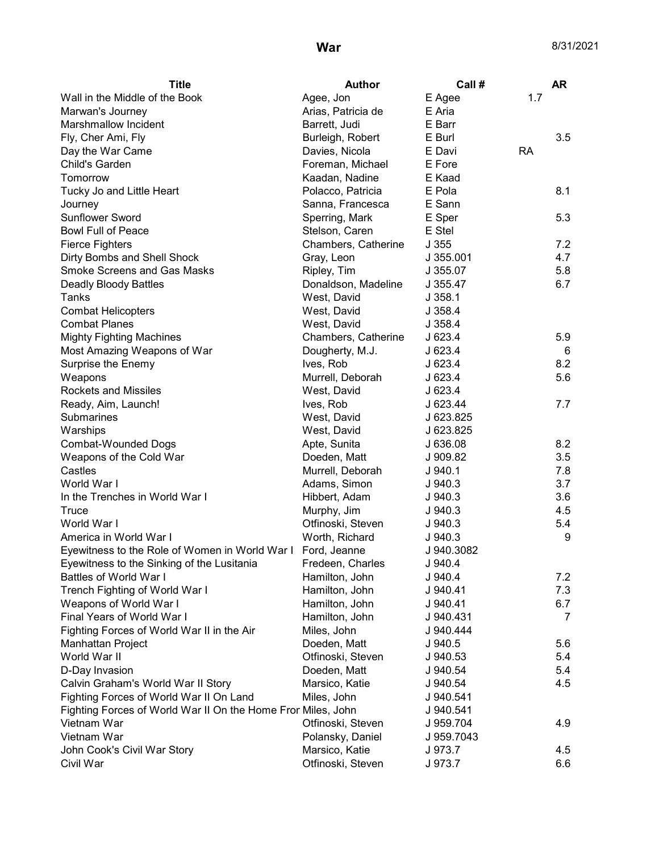| <b>Title</b>                                                 | <b>Author</b>       | Call #     |           | <b>AR</b> |
|--------------------------------------------------------------|---------------------|------------|-----------|-----------|
| Wall in the Middle of the Book                               | Agee, Jon           | E Agee     | 1.7       |           |
| Marwan's Journey                                             | Arias, Patricia de  | E Aria     |           |           |
| Marshmallow Incident                                         | Barrett, Judi       | E Barr     |           |           |
| Fly, Cher Ami, Fly                                           | Burleigh, Robert    | E Burl     |           | 3.5       |
| Day the War Came                                             | Davies, Nicola      | E Davi     | <b>RA</b> |           |
| Child's Garden                                               | Foreman, Michael    | E Fore     |           |           |
| Tomorrow                                                     | Kaadan, Nadine      | E Kaad     |           |           |
| Tucky Jo and Little Heart                                    | Polacco, Patricia   | E Pola     |           | 8.1       |
| Journey                                                      | Sanna, Francesca    | E Sann     |           |           |
| <b>Sunflower Sword</b>                                       | Sperring, Mark      | E Sper     |           | 5.3       |
| <b>Bowl Full of Peace</b>                                    | Stelson, Caren      | E Stel     |           |           |
| <b>Fierce Fighters</b>                                       | Chambers, Catherine | J355       |           | 7.2       |
| Dirty Bombs and Shell Shock                                  | Gray, Leon          | J 355.001  |           | 4.7       |
| <b>Smoke Screens and Gas Masks</b>                           | Ripley, Tim         | J 355.07   |           | 5.8       |
| Deadly Bloody Battles                                        | Donaldson, Madeline | J 355.47   |           | 6.7       |
| Tanks                                                        | West, David         | J.358.1    |           |           |
| <b>Combat Helicopters</b>                                    | West, David         | J.358.4    |           |           |
| <b>Combat Planes</b>                                         | West, David         | J 358.4    |           |           |
| <b>Mighty Fighting Machines</b>                              | Chambers, Catherine | J 623.4    |           | 5.9       |
| Most Amazing Weapons of War                                  | Dougherty, M.J.     | J 623.4    |           | 6         |
| Surprise the Enemy                                           | Ives, Rob           | J 623.4    |           | 8.2       |
| Weapons                                                      | Murrell, Deborah    | J 623.4    |           | 5.6       |
| <b>Rockets and Missiles</b>                                  | West, David         | J 623.4    |           |           |
| Ready, Aim, Launch!                                          | Ives, Rob           | J 623.44   |           | 7.7       |
| Submarines                                                   | West, David         | J 623.825  |           |           |
| Warships                                                     | West, David         | J 623.825  |           |           |
| <b>Combat-Wounded Dogs</b>                                   | Apte, Sunita        | J 636.08   |           | 8.2       |
| Weapons of the Cold War                                      | Doeden, Matt        | J 909.82   |           | 3.5       |
| Castles                                                      | Murrell, Deborah    | J.940.1    |           | 7.8       |
| World War I                                                  | Adams, Simon        | J.940.3    |           | 3.7       |
| In the Trenches in World War I                               | Hibbert, Adam       | J.940.3    |           | 3.6       |
| Truce                                                        | Murphy, Jim         | $J$ 940.3  |           | 4.5       |
| World War I                                                  | Otfinoski, Steven   | J 940.3    |           | 5.4       |
| America in World War I                                       | Worth, Richard      | J 940.3    |           | 9         |
| Eyewitness to the Role of Women in World War I               | Ford, Jeanne        | J 940.3082 |           |           |
| Eyewitness to the Sinking of the Lusitania                   | Fredeen, Charles    | J 940.4    |           |           |
| Battles of World War I                                       | Hamilton, John      | J 940.4    |           | 7.2       |
| Trench Fighting of World War I                               | Hamilton, John      | J 940.41   |           | 7.3       |
| Weapons of World War I                                       | Hamilton, John      | J 940.41   |           | 6.7       |
| Final Years of World War I                                   | Hamilton, John      | J 940.431  |           | 7         |
| Fighting Forces of World War II in the Air                   | Miles, John         | J 940.444  |           |           |
| Manhattan Project                                            | Doeden, Matt        | J 940.5    |           | 5.6       |
| World War II                                                 | Otfinoski, Steven   | J 940.53   |           | 5.4       |
| D-Day Invasion                                               | Doeden, Matt        | J 940.54   |           | 5.4       |
| Calvin Graham's World War II Story                           | Marsico, Katie      | J 940.54   |           | 4.5       |
| Fighting Forces of World War II On Land                      | Miles, John         | J 940.541  |           |           |
| Fighting Forces of World War II On the Home Fron Miles, John |                     | J 940.541  |           |           |
| Vietnam War                                                  | Otfinoski, Steven   | J 959.704  |           | 4.9       |
| Vietnam War                                                  | Polansky, Daniel    | J 959.7043 |           |           |
| John Cook's Civil War Story                                  | Marsico, Katie      | J 973.7    |           | 4.5       |
| Civil War                                                    | Otfinoski, Steven   | J 973.7    |           | 6.6       |